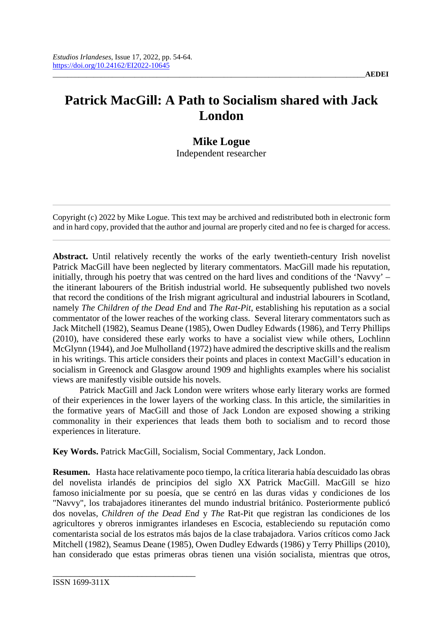## **Patrick MacGill: A Path to Socialism shared with Jack London**

## **Mike Logue**

Independent researcher

Copyright (c) 2022 by Mike Logue. This text may be archived and redistributed both in electronic form and in hard copy, provided that the author and journal are properly cited and no fee is charged for access.

**Abstract.** Until relatively recently the works of the early twentieth-century Irish novelist Patrick MacGill have been neglected by literary commentators. MacGill made his reputation, initially, through his poetry that was centred on the hard lives and conditions of the 'Navvy' – the itinerant labourers of the British industrial world. He subsequently published two novels that record the conditions of the Irish migrant agricultural and industrial labourers in Scotland, namely *The Children of the Dead End* and *The Rat-Pit*, establishing his reputation as a social commentator of the lower reaches of the working class. Several literary commentators such as Jack Mitchell (1982), Seamus Deane (1985), Owen Dudley Edwards (1986), and Terry Phillips (2010), have considered these early works to have a socialist view while others, Lochlinn McGlynn (1944), and Joe Mulholland (1972) have admired the descriptive skills and the realism in his writings. This article considers their points and places in context MacGill's education in socialism in Greenock and Glasgow around 1909 and highlights examples where his socialist views are manifestly visible outside his novels.

Patrick MacGill and Jack London were writers whose early literary works are formed of their experiences in the lower layers of the working class. In this article, the similarities in the formative years of MacGill and those of Jack London are exposed showing a striking commonality in their experiences that leads them both to socialism and to record those experiences in literature.

**Key Words.** Patrick MacGill, Socialism, Social Commentary, Jack London.

**Resumen.** Hasta hace relativamente poco tiempo, la crítica literaria había descuidado las obras del novelista irlandés de principios del siglo XX Patrick MacGill. MacGill se hizo famoso inicialmente por su poesía, que se centró en las duras vidas y condiciones de los "Navvy", los trabajadores itinerantes del mundo industrial británico. Posteriormente publicó dos novelas*, Children of the Dead E*n*d* y *The* Rat-Pit que registran las condiciones de los agricultores y obreros inmigrantes irlandeses en Escocia, estableciendo su reputación como comentarista social de los estratos más bajos de la clase trabajadora. Varios críticos como Jack Mitchell (1982), Seamus Deane (1985), Owen Dudley Edwards (1986) y Terry Phillips (2010), han considerado que estas primeras obras tienen una visión socialista, mientras que otros,

\_\_\_\_\_\_\_\_\_\_\_\_\_\_\_\_\_\_\_\_\_\_\_\_\_\_\_\_\_\_\_\_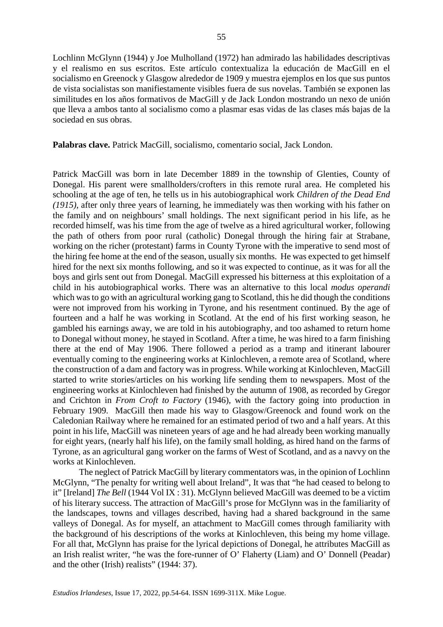Lochlinn McGlynn (1944) y Joe Mulholland (1972) han admirado las habilidades descriptivas y el realismo en sus escritos. Este artículo contextualiza la educación de MacGill en el socialismo en Greenock y Glasgow alrededor de 1909 y muestra ejemplos en los que sus puntos de vista socialistas son manifiestamente visibles fuera de sus novelas. También se exponen las similitudes en los años formativos de MacGill y de Jack London mostrando un nexo de unión que lleva a ambos tanto al socialismo como a plasmar esas vidas de las clases más bajas de la sociedad en sus obras.

**Palabras clave.** Patrick MacGill, socialismo, comentario social, Jack London.

Patrick MacGill was born in late December 1889 in the township of Glenties, County of Donegal. His parent were smallholders/crofters in this remote rural area. He completed his schooling at the age of ten, he tells us in his autobiographical work *Children of the Dead End (1915)*, after only three years of learning, he immediately was then working with his father on the family and on neighbours' small holdings. The next significant period in his life, as he recorded himself, was his time from the age of twelve as a hired agricultural worker, following the path of others from poor rural (catholic) Donegal through the hiring fair at Strabane, working on the richer (protestant) farms in County Tyrone with the imperative to send most of the hiring fee home at the end of the season, usually six months. He was expected to get himself hired for the next six months following, and so it was expected to continue, as it was for all the boys and girls sent out from Donegal. MacGill expressed his bitterness at this exploitation of a child in his autobiographical works. There was an alternative to this local *modus operandi* which was to go with an agricultural working gang to Scotland, this he did though the conditions were not improved from his working in Tyrone, and his resentment continued. By the age of fourteen and a half he was working in Scotland. At the end of his first working season, he gambled his earnings away, we are told in his autobiography, and too ashamed to return home to Donegal without money, he stayed in Scotland. After a time, he was hired to a farm finishing there at the end of May 1906. There followed a period as a tramp and itinerant labourer eventually coming to the engineering works at Kinlochleven, a remote area of Scotland, where the construction of a dam and factory was in progress. While working at Kinlochleven, MacGill started to write stories/articles on his working life sending them to newspapers. Most of the engineering works at Kinlochleven had finished by the autumn of 1908, as recorded by Gregor and Crichton in *From Croft to Factory* (1946), with the factory going into production in February 1909. MacGill then made his way to Glasgow/Greenock and found work on the Caledonian Railway where he remained for an estimated period of two and a half years. At this point in his life, MacGill was nineteen years of age and he had already been working manually for eight years, (nearly half his life), on the family small holding, as hired hand on the farms of Tyrone, as an agricultural gang worker on the farms of West of Scotland, and as a navvy on the works at Kinlochleven.

The neglect of Patrick MacGill by literary commentators was, in the opinion of Lochlinn McGlynn, "The penalty for writing well about Ireland", It was that "he had ceased to belong to it" [Ireland] *The Bell* (1944 Vol IX : 31). McGlynn believed MacGill was deemed to be a victim of his literary success. The attraction of MacGill's prose for McGlynn was in the familiarity of the landscapes, towns and villages described, having had a shared background in the same valleys of Donegal. As for myself, an attachment to MacGill comes through familiarity with the background of his descriptions of the works at Kinlochleven, this being my home village. For all that, McGlynn has praise for the lyrical depictions of Donegal, he attributes MacGill as an Irish realist writer, "he was the fore-runner of O' Flaherty (Liam) and O' Donnell (Peadar) and the other (Irish) realists" (1944: 37).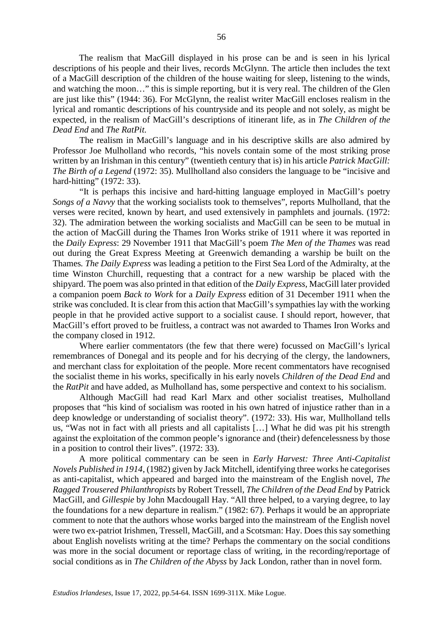The realism that MacGill displayed in his prose can be and is seen in his lyrical descriptions of his people and their lives, records McGlynn. The article then includes the text of a MacGill description of the children of the house waiting for sleep, listening to the winds, and watching the moon…" this is simple reporting, but it is very real. The children of the Glen are just like this" (1944: 36). For McGlynn, the realist writer MacGill encloses realism in the lyrical and romantic descriptions of his countryside and its people and not solely, as might be expected, in the realism of MacGill's descriptions of itinerant life, as in *The Children of the Dead End* and *The RatPit.*

The realism in MacGill's language and in his descriptive skills are also admired by Professor Joe Mulholland who records, "his novels contain some of the most striking prose written by an Irishman in this century" (twentieth century that is) in his article *Patrick MacGill: The Birth of a Legend* (1972: 35). Mullholland also considers the language to be "incisive and hard-hitting" (1972: 33).

"It is perhaps this incisive and hard-hitting language employed in MacGill's poetry *Songs of a Navvy* that the working socialists took to themselves", reports Mulholland, that the verses were recited, known by heart, and used extensively in pamphlets and journals. (1972: 32). The admiration between the working socialists and MacGill can be seen to be mutual in the action of MacGill during the Thames Iron Works strike of 1911 where it was reported in the *Daily Express*: 29 November 1911 that MacGill's poem *The Men of the Thames* was read out during the Great Express Meeting at Greenwich demanding a warship be built on the Thames*. The Daily Express* was leading a petition to the First Sea Lord of the Admiralty, at the time Winston Churchill, requesting that a contract for a new warship be placed with the shipyard. The poem was also printed in that edition of the *Daily Express*, MacGill later provided a companion poem *Back to Work* for a *Daily Express* edition of 31 December 1911 when the strike was concluded. It is clear from this action that MacGill's sympathies lay with the working people in that he provided active support to a socialist cause. I should report, however, that MacGill's effort proved to be fruitless, a contract was not awarded to Thames Iron Works and the company closed in 1912.

Where earlier commentators (the few that there were) focussed on MacGill's lyrical remembrances of Donegal and its people and for his decrying of the clergy, the landowners, and merchant class for exploitation of the people. More recent commentators have recognised the socialist theme in his works, specifically in his early novels *Children of the Dead End* and the *RatPit* and have added, as Mulholland has, some perspective and context to his socialism.

Although MacGill had read Karl Marx and other socialist treatises, Mulholland proposes that "his kind of socialism was rooted in his own hatred of injustice rather than in a deep knowledge or understanding of socialist theory". (1972: 33). His war, Mullholland tells us, "Was not in fact with all priests and all capitalists […] What he did was pit his strength against the exploitation of the common people's ignorance and (their) defencelessness by those in a position to control their lives". (1972: 33).

A more political commentary can be seen in *Early Harvest: Three Anti-Capitalist Novels Published in 1914*, (1982) given by Jack Mitchell, identifying three works he categorises as anti-capitalist, which appeared and barged into the mainstream of the English novel, *The Ragged Trousered Philanthropists* by Robert Tressell, *The Children of the Dead End* by Patrick MacGill, and *Gillespie* by John Macdougall Hay. "All three helped, to a varying degree, to lay the foundations for a new departure in realism." (1982: 67). Perhaps it would be an appropriate comment to note that the authors whose works barged into the mainstream of the English novel were two ex-patriot Irishmen, Tressell, MacGill, and a Scotsman: Hay. Does this say something about English novelists writing at the time? Perhaps the commentary on the social conditions was more in the social document or reportage class of writing, in the recording/reportage of social conditions as in *The Children of the Abyss* by Jack London, rather than in novel form.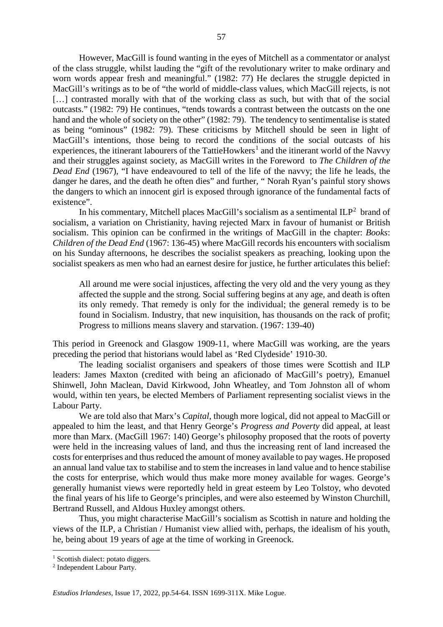However, MacGill is found wanting in the eyes of Mitchell as a commentator or analyst of the class struggle, whilst lauding the "gift of the revolutionary writer to make ordinary and worn words appear fresh and meaningful." (1982: 77) He declares the struggle depicted in MacGill's writings as to be of "the world of middle-class values, which MacGill rejects, is not [...] contrasted morally with that of the working class as such, but with that of the social outcasts." (1982: 79) He continues, "tends towards a contrast between the outcasts on the one hand and the whole of society on the other" (1982: 79). The tendency to sentimentalise is stated as being "ominous" (1982: 79). These criticisms by Mitchell should be seen in light of MacGill's intentions, those being to record the conditions of the social outcasts of his experiences, the itinerant labourers of the TattieHowkers<sup>[1](#page-3-0)</sup> and the itinerant world of the Navvy and their struggles against society, as MacGill writes in the Foreword to *The Children of the Dead End* (1967), "I have endeavoured to tell of the life of the navvy; the life he leads, the danger he dares, and the death he often dies" and further, " Norah Ryan's painful story shows the dangers to which an innocent girl is exposed through ignorance of the fundamental facts of existence".

In his commentary, Mitchell places MacGill's socialism as a sentimental  $ILP<sup>2</sup>$  $ILP<sup>2</sup>$  $ILP<sup>2</sup>$  brand of socialism, a variation on Christianity, having rejected Marx in favour of humanist or British socialism. This opinion can be confirmed in the writings of MacGill in the chapter: *Books*: *Children of the Dead End* (1967: 136-45) where MacGill records his encounters with socialism on his Sunday afternoons, he describes the socialist speakers as preaching, looking upon the socialist speakers as men who had an earnest desire for justice, he further articulates this belief:

All around me were social injustices, affecting the very old and the very young as they affected the supple and the strong. Social suffering begins at any age, and death is often its only remedy. That remedy is only for the individual; the general remedy is to be found in Socialism. Industry, that new inquisition, has thousands on the rack of profit; Progress to millions means slavery and starvation. (1967: 139-40)

This period in Greenock and Glasgow 1909-11, where MacGill was working, are the years preceding the period that historians would label as 'Red Clydeside' 1910-30.

The leading socialist organisers and speakers of those times were Scottish and ILP leaders: James Maxton (credited with being an aficionado of MacGill's poetry), Emanuel Shinwell, John Maclean, David Kirkwood, John Wheatley, and Tom Johnston all of whom would, within ten years, be elected Members of Parliament representing socialist views in the Labour Party.

We are told also that Marx's *Capital*, though more logical, did not appeal to MacGill or appealed to him the least, and that Henry George's *Progress and Poverty* did appeal, at least more than Marx. (MacGill 1967: 140) George's philosophy proposed that the roots of poverty were held in the increasing values of land, and thus the increasing rent of land increased the costs for enterprises and thus reduced the amount of money available to pay wages. He proposed an annual land value tax to stabilise and to stem the increases in land value and to hence stabilise the costs for enterprise, which would thus make more money available for wages. George's generally humanist views were reportedly held in great esteem by Leo Tolstoy, who devoted the final years of his life to George's principles, and were also esteemed by Winston Churchill, Bertrand Russell, and Aldous Huxley amongst others.

Thus, you might characterise MacGill's socialism as Scottish in nature and holding the views of the ILP, a Christian / Humanist view allied with, perhaps, the idealism of his youth, he, being about 19 years of age at the time of working in Greenock.

<span id="page-3-0"></span><sup>&</sup>lt;sup>1</sup> Scottish dialect: potato diggers.

<span id="page-3-1"></span><sup>2</sup> Independent Labour Party.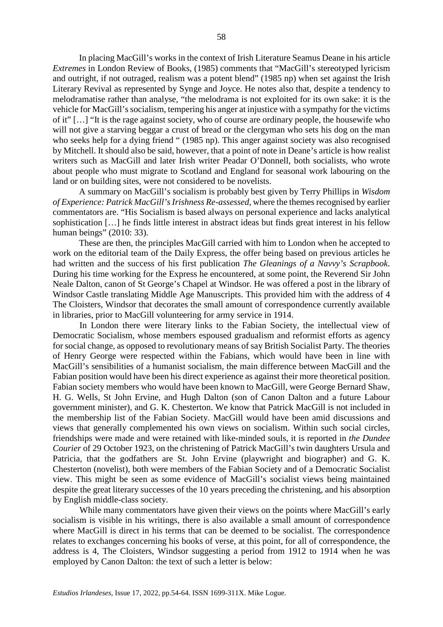In placing MacGill's works in the context of Irish Literature Seamus Deane in his article *Extremes* in London Review of Books, (1985) comments that "MacGill's stereotyped lyricism and outright, if not outraged, realism was a potent blend" (1985 np) when set against the Irish Literary Revival as represented by Synge and Joyce. He notes also that, despite a tendency to melodramatise rather than analyse, "the melodrama is not exploited for its own sake: it is the vehicle for MacGill's socialism, tempering his anger at injustice with a sympathy for the victims of it" […] "It is the rage against society, who of course are ordinary people, the housewife who will not give a starving beggar a crust of bread or the clergyman who sets his dog on the man who seeks help for a dying friend " (1985 np). This anger against society was also recognised by Mitchell. It should also be said, however, that a point of note in Deane's article is how realist writers such as MacGill and later Irish writer Peadar O'Donnell, both socialists, who wrote about people who must migrate to Scotland and England for seasonal work labouring on the land or on building sites, were not considered to be novelists.

A summary on MacGill's socialism is probably best given by Terry Phillips in *Wisdom of Experience: Patrick MacGill's Irishness Re-assessed*, where the themes recognised by earlier commentators are. "His Socialism is based always on personal experience and lacks analytical sophistication […] he finds little interest in abstract ideas but finds great interest in his fellow human beings" (2010: 33).

These are then, the principles MacGill carried with him to London when he accepted to work on the editorial team of the Daily Express, the offer being based on previous articles he had written and the success of his first publication *The Gleanings of a Navvy's Scrapbook*. During his time working for the Express he encountered, at some point, the Reverend Sir John Neale Dalton, canon of St George's Chapel at Windsor. He was offered a post in the library of Windsor Castle translating Middle Age Manuscripts. This provided him with the address of 4 The Cloisters, Windsor that decorates the small amount of correspondence currently available in libraries, prior to MacGill volunteering for army service in 1914.

In London there were literary links to the Fabian Society, the intellectual view of Democratic Socialism, whose members espoused gradualism and reformist efforts as agency for social change, as opposed to revolutionary means of say British Socialist Party. The theories of Henry George were respected within the Fabians, which would have been in line with MacGill's sensibilities of a humanist socialism, the main difference between MacGill and the Fabian position would have been his direct experience as against their more theoretical position. Fabian society members who would have been known to MacGill, were George Bernard Shaw, H. G. Wells, St John Ervine, and Hugh Dalton (son of Canon Dalton and a future Labour government minister), and G. K. Chesterton. We know that Patrick MacGill is not included in the membership list of the Fabian Society. MacGill would have been amid discussions and views that generally complemented his own views on socialism. Within such social circles, friendships were made and were retained with like-minded souls, it is reported in *the Dundee Courier* of 29 October 1923, on the christening of Patrick MacGill's twin daughters Ursula and Patricia, that the godfathers are St. John Ervine (playwright and biographer) and G. K. Chesterton (novelist), both were members of the Fabian Society and of a Democratic Socialist view. This might be seen as some evidence of MacGill's socialist views being maintained despite the great literary successes of the 10 years preceding the christening, and his absorption by English middle-class society.

While many commentators have given their views on the points where MacGill's early socialism is visible in his writings, there is also available a small amount of correspondence where MacGill is direct in his terms that can be deemed to be socialist. The correspondence relates to exchanges concerning his books of verse, at this point, for all of correspondence, the address is 4, The Cloisters, Windsor suggesting a period from 1912 to 1914 when he was employed by Canon Dalton: the text of such a letter is below: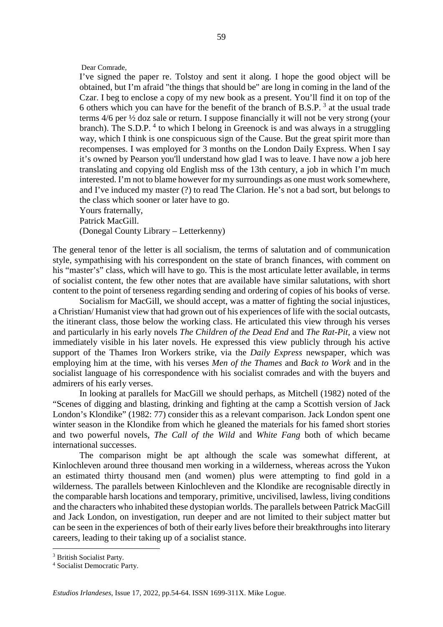Dear Comrade,

I've signed the paper re. Tolstoy and sent it along. I hope the good object will be obtained, but I'm afraid "the things that should be" are long in coming in the land of the Czar. I beg to enclose a copy of my new book as a present. You'll find it on top of the 6 others which you can have for the benefit of the branch of B.S.P.<sup>[3](#page-5-0)</sup> at the usual trade terms 4/6 per ½ doz sale or return. I suppose financially it will not be very strong (your branch). The S.D.P.<sup>[4](#page-5-1)</sup> to which I belong in Greenock is and was always in a struggling way, which I think is one conspicuous sign of the Cause. But the great spirit more than recompenses. I was employed for 3 months on the London Daily Express. When I say it's owned by Pearson you'll understand how glad I was to leave. I have now a job here translating and copying old English mss of the 13th century, a job in which I'm much interested. I'm not to blame however for my surroundings as one must work somewhere, and I've induced my master (?) to read The Clarion. He's not a bad sort, but belongs to the class which sooner or later have to go. Yours fraternally,

Patrick MacGill.

(Donegal County Library – Letterkenny)

The general tenor of the letter is all socialism, the terms of salutation and of communication style, sympathising with his correspondent on the state of branch finances, with comment on his "master's" class, which will have to go. This is the most articulate letter available, in terms of socialist content, the few other notes that are available have similar salutations, with short content to the point of terseness regarding sending and ordering of copies of his books of verse.

Socialism for MacGill, we should accept, was a matter of fighting the social injustices, a Christian/ Humanist view that had grown out of his experiences of life with the social outcasts, the itinerant class, those below the working class. He articulated this view through his verses and particularly in his early novels *The Children of the Dead End* and *The Rat-Pit,* a view not immediately visible in his later novels. He expressed this view publicly through his active support of the Thames Iron Workers strike, via the *Daily Express* newspaper, which was employing him at the time, with his verses *Men of the Thames* and *Back to Work* and in the socialist language of his correspondence with his socialist comrades and with the buyers and admirers of his early verses.

In looking at parallels for MacGill we should perhaps, as Mitchell (1982) noted of the "Scenes of digging and blasting, drinking and fighting at the camp a Scottish version of Jack London's Klondike" (1982: 77) consider this as a relevant comparison. Jack London spent one winter season in the Klondike from which he gleaned the materials for his famed short stories and two powerful novels, *The Call of the Wild* and *White Fang* both of which became international successes.

The comparison might be apt although the scale was somewhat different, at Kinlochleven around three thousand men working in a wilderness, whereas across the Yukon an estimated thirty thousand men (and women) plus were attempting to find gold in a wilderness. The parallels between Kinlochleven and the Klondike are recognisable directly in the comparable harsh locations and temporary, primitive, uncivilised, lawless, living conditions and the characters who inhabited these dystopian worlds. The parallels between Patrick MacGill and Jack London, on investigation, run deeper and are not limited to their subject matter but can be seen in the experiences of both of their early lives before their breakthroughs into literary careers, leading to their taking up of a socialist stance.

<span id="page-5-0"></span><sup>&</sup>lt;sup>3</sup> British Socialist Party.

<span id="page-5-1"></span><sup>4</sup> Socialist Democratic Party.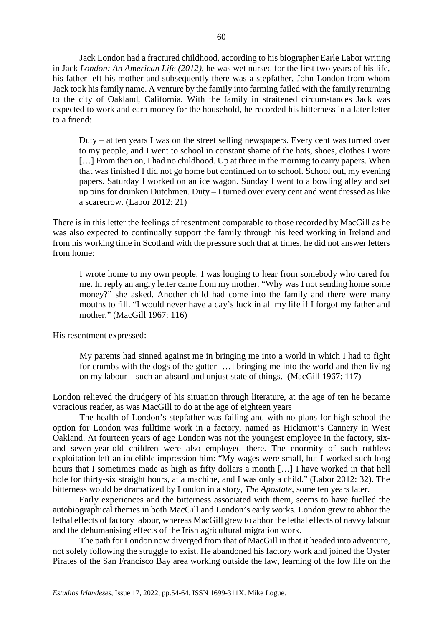Jack London had a fractured childhood, according to his biographer Earle Labor writing in Jack *London: An American Life (2012),* he was wet nursed for the first two years of his life, his father left his mother and subsequently there was a stepfather, John London from whom Jack took his family name. A venture by the family into farming failed with the family returning to the city of Oakland, California. With the family in straitened circumstances Jack was expected to work and earn money for the household, he recorded his bitterness in a later letter to a friend:

Duty – at ten years I was on the street selling newspapers. Every cent was turned over to my people, and I went to school in constant shame of the hats, shoes, clothes I wore [...] From then on, I had no childhood. Up at three in the morning to carry papers. When that was finished I did not go home but continued on to school. School out, my evening papers. Saturday I worked on an ice wagon. Sunday I went to a bowling alley and set up pins for drunken Dutchmen. Duty – I turned over every cent and went dressed as like a scarecrow. (Labor 2012: 21)

There is in this letter the feelings of resentment comparable to those recorded by MacGill as he was also expected to continually support the family through his feed working in Ireland and from his working time in Scotland with the pressure such that at times, he did not answer letters from home:

I wrote home to my own people. I was longing to hear from somebody who cared for me. In reply an angry letter came from my mother. "Why was I not sending home some money?" she asked. Another child had come into the family and there were many mouths to fill. "I would never have a day's luck in all my life if I forgot my father and mother." (MacGill 1967: 116)

His resentment expressed:

My parents had sinned against me in bringing me into a world in which I had to fight for crumbs with the dogs of the gutter […] bringing me into the world and then living on my labour – such an absurd and unjust state of things. (MacGill 1967: 117)

London relieved the drudgery of his situation through literature, at the age of ten he became voracious reader, as was MacGill to do at the age of eighteen years

The health of London's stepfather was failing and with no plans for high school the option for London was fulltime work in a factory, named as Hickmott's Cannery in West Oakland. At fourteen years of age London was not the youngest employee in the factory, sixand seven-year-old children were also employed there. The enormity of such ruthless exploitation left an indelible impression him: "My wages were small, but I worked such long hours that I sometimes made as high as fifty dollars a month […] I have worked in that hell hole for thirty-six straight hours, at a machine, and I was only a child." (Labor 2012: 32). The bitterness would be dramatized by London in a story, *The Apostate*, some ten years later.

Early experiences and the bitterness associated with them, seems to have fuelled the autobiographical themes in both MacGill and London's early works. London grew to abhor the lethal effects of factory labour, whereas MacGill grew to abhor the lethal effects of navvy labour and the dehumanising effects of the Irish agricultural migration work.

The path for London now diverged from that of MacGill in that it headed into adventure, not solely following the struggle to exist. He abandoned his factory work and joined the Oyster Pirates of the San Francisco Bay area working outside the law, learning of the low life on the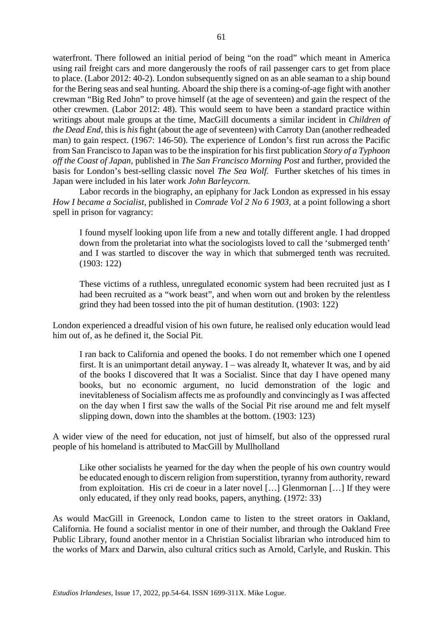waterfront. There followed an initial period of being "on the road" which meant in America using rail freight cars and more dangerously the roofs of rail passenger cars to get from place to place. (Labor 2012: 40-2). London subsequently signed on as an able seaman to a ship bound for the Bering seas and seal hunting. Aboard the ship there is a coming-of-age fight with another crewman "Big Red John" to prove himself (at the age of seventeen) and gain the respect of the other crewmen. (Labor 2012: 48). This would seem to have been a standard practice within writings about male groups at the time, MacGill documents a similar incident in *Children of the Dead End,* this is *his*fight (about the age of seventeen) with Carroty Dan (another redheaded man) to gain respect. (1967: 146-50). The experience of London's first run across the Pacific from San Francisco to Japan was to be the inspiration for his first publication *Story of a Typhoon off the Coast of Japan,* published in *The San Francisco Morning Post* and further, provided the basis for London's best-selling classic novel *The Sea Wolf.* Further sketches of his times in Japan were included in his later work *John Barleycorn.* 

Labor records in the biography, an epiphany for Jack London as expressed in his essay *How I became a Socialist,* published in *Comrade Vol 2 No 6 1903,* at a point following a short spell in prison for vagrancy:

I found myself looking upon life from a new and totally different angle. I had dropped down from the proletariat into what the sociologists loved to call the 'submerged tenth' and I was startled to discover the way in which that submerged tenth was recruited. (1903: 122)

These victims of a ruthless, unregulated economic system had been recruited just as I had been recruited as a "work beast", and when worn out and broken by the relentless grind they had been tossed into the pit of human destitution. (1903: 122)

London experienced a dreadful vision of his own future, he realised only education would lead him out of, as he defined it, the Social Pit.

I ran back to California and opened the books. I do not remember which one I opened first. It is an unimportant detail anyway. I – was already It, whatever It was, and by aid of the books I discovered that It was a Socialist. Since that day I have opened many books, but no economic argument, no lucid demonstration of the logic and inevitableness of Socialism affects me as profoundly and convincingly as I was affected on the day when I first saw the walls of the Social Pit rise around me and felt myself slipping down, down into the shambles at the bottom. (1903: 123)

A wider view of the need for education, not just of himself, but also of the oppressed rural people of his homeland is attributed to MacGill by Mullholland

Like other socialists he yearned for the day when the people of his own country would be educated enough to discern religion from superstition, tyranny from authority, reward from exploitation. His cri de coeur in a later novel […] Glenmornan […] If they were only educated, if they only read books, papers, anything. (1972: 33)

As would MacGill in Greenock, London came to listen to the street orators in Oakland, California. He found a socialist mentor in one of their number, and through the Oakland Free Public Library, found another mentor in a Christian Socialist librarian who introduced him to the works of Marx and Darwin, also cultural critics such as Arnold, Carlyle, and Ruskin. This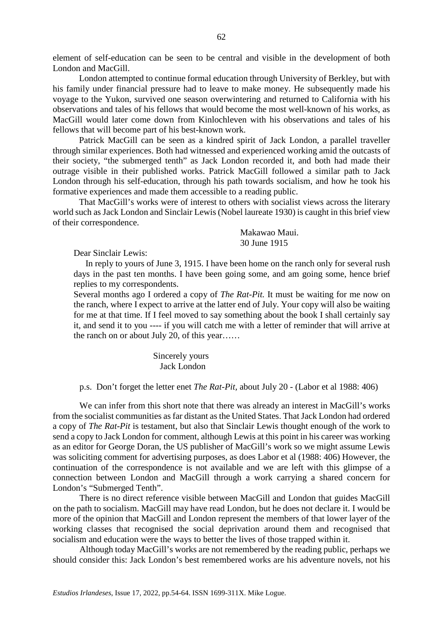element of self-education can be seen to be central and visible in the development of both London and MacGill.

London attempted to continue formal education through University of Berkley, but with his family under financial pressure had to leave to make money. He subsequently made his voyage to the Yukon, survived one season overwintering and returned to California with his observations and tales of his fellows that would become the most well-known of his works, as MacGill would later come down from Kinlochleven with his observations and tales of his fellows that will become part of his best-known work.

Patrick MacGill can be seen as a kindred spirit of Jack London, a parallel traveller through similar experiences. Both had witnessed and experienced working amid the outcasts of their society, "the submerged tenth" as Jack London recorded it, and both had made their outrage visible in their published works. Patrick MacGill followed a similar path to Jack London through his self-education, through his path towards socialism, and how he took his formative experiences and made them accessible to a reading public.

That MacGill's works were of interest to others with socialist views across the literary world such as Jack London and Sinclair Lewis (Nobel laureate 1930) is caught in this brief view of their correspondence.

> Makawao Maui. 30 June 1915

Dear Sinclair Lewis:

In reply to yours of June 3, 1915. I have been home on the ranch only for several rush days in the past ten months. I have been going some, and am going some, hence brief replies to my correspondents.

Several months ago I ordered a copy of *The Rat-Pit.* It must be waiting for me now on the ranch, where I expect to arrive at the latter end of July. Your copy will also be waiting for me at that time. If I feel moved to say something about the book I shall certainly say it, and send it to you ---- if you will catch me with a letter of reminder that will arrive at the ranch on or about July 20, of this year……

> Sincerely yours Jack London

p.s. Don't forget the letter enet *The Rat-Pit,* about July 20 - (Labor et al 1988: 406)

We can infer from this short note that there was already an interest in MacGill's works from the socialist communities as far distant as the United States. That Jack London had ordered a copy of *The Rat-Pit* is testament, but also that Sinclair Lewis thought enough of the work to send a copy to Jack London for comment, although Lewis at this point in his career was working as an editor for George Doran, the US publisher of MacGill's work so we might assume Lewis was soliciting comment for advertising purposes, as does Labor et al (1988: 406) However, the continuation of the correspondence is not available and we are left with this glimpse of a connection between London and MacGill through a work carrying a shared concern for London's "Submerged Tenth".

There is no direct reference visible between MacGill and London that guides MacGill on the path to socialism. MacGill may have read London, but he does not declare it. I would be more of the opinion that MacGill and London represent the members of that lower layer of the working classes that recognised the social deprivation around them and recognised that socialism and education were the ways to better the lives of those trapped within it.

Although today MacGill's works are not remembered by the reading public, perhaps we should consider this: Jack London's best remembered works are his adventure novels, not his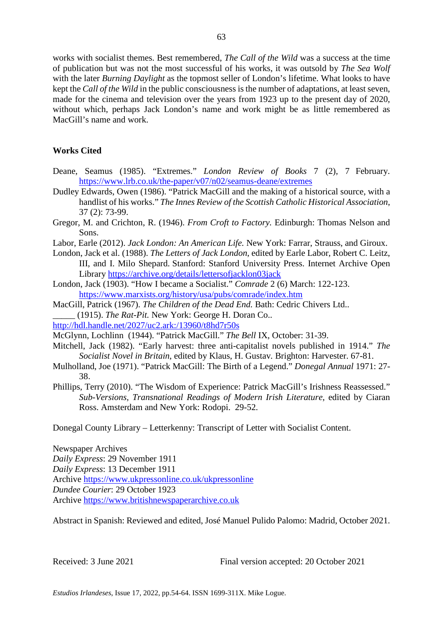works with socialist themes. Best remembered, *The Call of the Wild* was a success at the time of publication but was not the most successful of his works, it was outsold by *The Sea Wolf*  with the later *Burning Daylight* as the topmost seller of London's lifetime. What looks to have kept the *Call of the Wild* in the public consciousness is the number of adaptations, at least seven, made for the cinema and television over the years from 1923 up to the present day of 2020, without which, perhaps Jack London's name and work might be as little remembered as MacGill's name and work.

## **Works Cited**

- Deane, Seamus (1985). "Extremes." *London Review of Books* 7 (2), 7 February. <https://www.lrb.co.uk/the-paper/v07/n02/seamus-deane/extremes>
- Dudley Edwards, Owen (1986). "Patrick MacGill and the making of a historical source, with a handlist of his works." *The Innes Review of the Scottish Catholic Historical Association*, 37 (2): 73-99.
- Gregor, M. and Crichton, R. (1946). *From Croft to Factory.* Edinburgh: Thomas Nelson and Sons.
- Labor, Earle (2012). *Jack London: An American Life.* New York: Farrar, Strauss, and Giroux.
- London, Jack et al. (1988). *The Letters of Jack London*, edited by Earle Labor, Robert C. Leitz, III, and I. Milo Shepard. Stanford: Stanford University Press. Internet Archive Open Library<https://archive.org/details/lettersofjacklon03jack>
- London, Jack (1903). "How I became a Socialist." *Comrade* 2 (6) March: 122-123. <https://www.marxists.org/history/usa/pubs/comrade/index.htm>
- MacGill, Patrick (1967). *The Children of the Dead End.* Bath: Cedric Chivers Ltd.. \_\_\_\_\_ (1915). *The Rat-Pit.* New York: George H. Doran Co..
- <http://hdl.handle.net/2027/uc2.ark:/13960/t8hd7r50s>
- McGlynn, Lochlinn (1944). "Patrick MacGill." *The Bell* IX, October: 31-39.
- Mitchell, Jack (1982). "Early harvest: three anti-capitalist novels published in 1914." *The Socialist Novel in Britain*, edited by Klaus, H. Gustav*.* Brighton: Harvester. 67-81.
- Mulholland, Joe (1971). "Patrick MacGill: The Birth of a Legend." *Donegal Annual* 1971: 27- 38.
- Phillips, Terry (2010). "The Wisdom of Experience: Patrick MacGill's Irishness Reassessed." *Sub-Versions, Transnational Readings of Modern Irish Literature*, edited by Ciaran Ross. Amsterdam and New York: Rodopi. 29-52.

Donegal County Library – Letterkenny: Transcript of Letter with Socialist Content.

Newspaper Archives *Daily Express*: 29 November 1911 *Daily Express*: 13 December 1911 Archive<https://www.ukpressonline.co.uk/ukpressonline> *Dundee Courier*: 29 October 1923 Archive [https://www.britishnewspaperarchive.co.uk](https://www.britishnewspaperarchive.co.uk/)

Abstract in Spanish: Reviewed and edited, José Manuel Pulido Palomo: Madrid, October 2021.

Received: 3 June 2021 Final version accepted: 20 October 2021